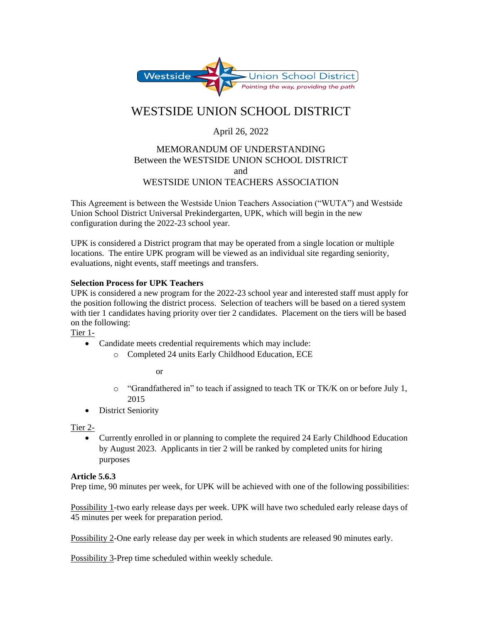

# WESTSIDE UNION SCHOOL DISTRICT

## April 26, 2022

### MEMORANDUM OF UNDERSTANDING Between the WESTSIDE UNION SCHOOL DISTRICT and WESTSIDE UNION TEACHERS ASSOCIATION

This Agreement is between the Westside Union Teachers Association ("WUTA") and Westside Union School District Universal Prekindergarten, UPK, which will begin in the new configuration during the 2022-23 school year.

UPK is considered a District program that may be operated from a single location or multiple locations. The entire UPK program will be viewed as an individual site regarding seniority, evaluations, night events, staff meetings and transfers.

#### **Selection Process for UPK Teachers**

UPK is considered a new program for the 2022-23 school year and interested staff must apply for the position following the district process. Selection of teachers will be based on a tiered system with tier 1 candidates having priority over tier 2 candidates. Placement on the tiers will be based on the following:

Tier 1-

- Candidate meets credential requirements which may include:
	- o Completed 24 units Early Childhood Education, ECE

or

- $\circ$  "Grandfathered in" to teach if assigned to teach TK or TK/K on or before July 1, 2015
- District Seniority

Tier 2-

• Currently enrolled in or planning to complete the required 24 Early Childhood Education by August 2023. Applicants in tier 2 will be ranked by completed units for hiring purposes

#### **Article 5.6.3**

Prep time, 90 minutes per week, for UPK will be achieved with one of the following possibilities:

Possibility 1-two early release days per week. UPK will have two scheduled early release days of 45 minutes per week for preparation period.

Possibility 2-One early release day per week in which students are released 90 minutes early.

Possibility 3-Prep time scheduled within weekly schedule.